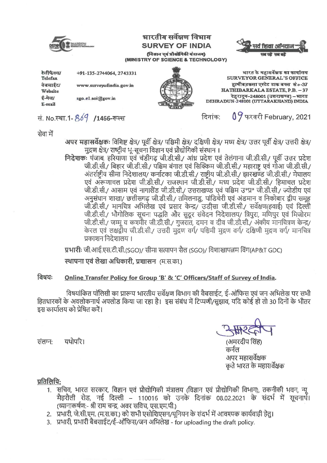

# भारतीय सर्वेक्षण विभाग **SURVEY OF INDIA** (विज्ञान एवं प्रौद्योगिकी मंत्रानग) (MINISTRY OF SCIENCE & TECHNOLOGY)



09 फरवरी February, 2021

+91-135-2744064, 2743331

भारत के महासर्वेक्षक का कार्यालय SURVEYOR GENERAL'S OFFICE हाथीबड़कला एस्टेट डाक बक्स सं०-37 HATHIBARKALA ESTATE, P.B. - 37 देहरादून-248001 (उत्तराखण्ड) –भारत DEHRADUN-248001 (UTTARAKHAND) INDIA



सं. No.स्था.1-869 /1466-रूल्स

सेवा में

अपर महासर्वेक्षकः विशिष्ट क्षेत्र/ पूर्वी क्षेत्र/ पश्चिमी क्षेत्र/ दक्षिणी क्षेत्र/ मध्य क्षेत्र/ उत्तर पूर्वी क्षेत्र/ उत्तरी क्षेत्र/ मुद्रण क्षेत्र/ राष्ट्रीय भू-सूचना विज्ञान एवं प्रौद्योगिकी संस्थान ।

दिनांक:

निदेशकः पंजाब, हरियाणा एवं चंडीगढ़ जी.डी.सी./ आंध्र प्रदेश एवं तेलंगाना जी.डी.सी./ पूर्वी उत्तर प्रदेश जी.डी.सी./ बिहार जी.डी.सी./ पश्चिम बंगाल एवं सिक्किम जी.डी.सी./ महाराष्ट्र एवं गोआ जी.डी.सी./ अंतर्राष्ट्रीय सीमा निदेशालय/ कर्नाटका जी.डी.सी./ राष्ट्रीय जी.डी.सी./ झारखण्ड जी.डी.सी./ मेघालय एवं अरूणाचल प्रदेश जी.डी.सी./ राजस्थान जी.डी.सी./ मध्य प्रदेश जी.डी.सी./ हिमाचल प्रदेश जी.डी.सी./ आसाम एवं नागालैंड जी.डी.सी./ उत्तराखण्ड एवं पश्चिम उ°प्र° जी.डी.सी./ ज्योडीय एवं .<br>अनुसंधान शाखा/ छत्तीसगढ़ जी.डी.सी./ तमिलनाडु, पांडिचेरी एवं अंडमान व निकोबार द्वीप समूह जी.डी.सी./ मानचित्र अभिलेख एवं प्रसार केन्द्र/ उडीसा जी.डी.सी./ सर्वेक्षण(हवाई) एवं दिल्ली जी.डी.सी./ भौगोलिक सूचना पद्धति और सुदूर संवेदन निदेशालय/ त्रिपुरा, मणिपुर एवं मिजोरम जी.डी.सी./ जम्मू व कश्मीर जी.डी.सी./ गुजरात, दमन व दीव जी.डी.सी./ अंकीय मानचित्रण केन्द्र/ केरल एवं लक्षद्वीप जी.डी.सी./ उत्तरी मुद्रण वर्ग/ पश्चिमी मुद्रण वर्ग/ दक्षिणी मुद्रण वर्ग/ मानचित्र प्रकाशन निदेशालय ।

प्रभारीः जी.आई.एस.टी.सी.(SGO)/ सीमा सत्यापन सैल (SGO)/ विशाखापत्नम विंग(AP&T GDC)

स्थापना एवं लेखा अधिकारी, प्रशासन (म.स.का.)

#### विषयः Online Transfer Policy for Group 'B' & 'C' Officers/Staff of Survey of India.

विषयांकित पॉलिसी का प्रारूप भारतीय सर्वेक्षण विभाग की वैबसाईट, ई-ऑफिस एवं जन अभिलेख पर सभी हितधारकों के अवलोकनार्थ अपलोड किया जा रहा है। इस संबंध में टिप्पणी/सुझाव, यदि कोई हो तो 30 दिनों के भीतर इस कार्यालय को प्रेषित करें।

(अमरदीप सिंह कर्नल अपर महासर्वेक्षक कते भारत के महासर्वेक्षक

यथोपरि। संलग्न•

# प्रतिलिपि:

- 1. सचिव, भारत सरकार, विज्ञान एवं प्रौद्योगिकी मंत्रालय (विज्ञान एवं प्रौद्योगिकी विभाग), तकनीकी भवन, न्यू मैहरौली रोड, नई दिल्ली – 110016 को उनके दिनांक 08.02.2021 के संदर्भ में सूचनार्थे। (ध्यानाकर्षण:- श्री राम चन्द्र, अवर सविच, एस.एम.पी.)
- 2. प्रभारी, जे.सी.एम. (म.स.का.) को सभी एसोशिएसन/युनियन के संदर्भ में आवश्यक कार्यवाही हेतु।
- 3. प्रभारी, प्रभारी बैबसाईट/ई-ऑफिस/जन अभिलेख for uploading the draft policy.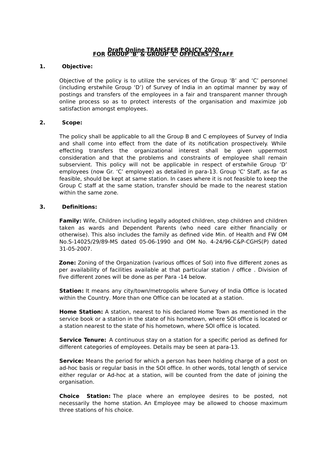#### **Draft Online TRANSFER POLICY 2020 FOR GROUP 'B' & GROUP 'C' OFFICERS / STAFF**

#### **1. Objective:**

Objective of the policy is to utilize the services of the Group 'B' and 'C' personnel (including erstwhile Group 'D') of Survey of India in an optimal manner by way of postings and transfers of the employees in a fair and transparent manner through online process so as to protect interests of the organisation and maximize job satisfaction amongst employees.

#### **2. Scope:**

The policy shall be applicable to all the Group B and C employees of Survey of India and shall come into effect from the date of its notification prospectively. While effecting transfers the organizational interest shall be given uppermost consideration and that the problems and constraints of employee shall remain subservient. This policy will not be applicable in respect of erstwhile Group 'D' employees (now Gr. 'C' employee) as detailed in para-13. Group 'C' Staff, as far as feasible, should be kept at same station. In cases where it is not feasible to keep the Group C staff at the same station, transfer should be made to the nearest station within the same zone.

#### **3. Definitions:**

**Family:** Wife, Children including legally adopted children, step children and children taken as wards and Dependent Parents (who need care either financially or otherwise). This also includes the family as defined vide Min. of Health and FW OM No.S-14025/29/89-MS dated 05-06-1990 and OM No. 4-24/96-C&P-CGHS(P) dated 31-05-2007.

**Zone:** Zoning of the Organization (various offices of SoI) into five different zones as per availability of facilities available at that particular station / office . Division of five different zones will be done as per Para -14 below.

**Station:** It means any city/town/metropolis where Survey of India Office is located within the Country. More than one Office can be located at a station.

**Home Station:** A station, nearest to his declared Home Town as mentioned in the service book or a station in the state of his hometown, where SOI office is located or a station nearest to the state of his hometown, where SOI office is located.

**Service Tenure:** A continuous stay on a station for a specific period as defined for different categories of employees. Details may be seen at para-13.

**Service:** Means the period for which a person has been holding charge of a post on ad-hoc basis or regular basis in the SOI office. In other words, total length of service either regular or Ad-hoc at a station, will be counted from the date of joining the organisation.

**Choice Station:** The place where an employee desires to be posted, not necessarily the home station. An Employee may be allowed to choose maximum three stations of his choice.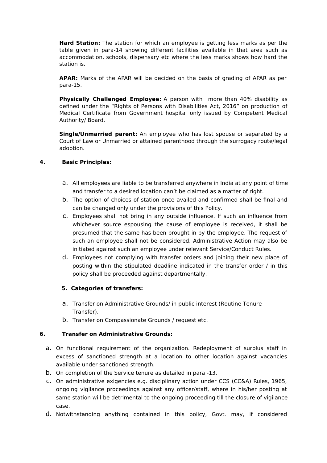**Hard Station:** The station for which an employee is getting less marks as per the table given in para-14 showing different facilities available in that area such as accommodation, schools, dispensary etc where the less marks shows how hard the station is.

**APAR:** Marks of the APAR will be decided on the basis of grading of APAR as per para-15.

**Physically Challenged Employee:** A person with more than 40% disability as defined under the "Rights of Persons with Disabilities Act, 2016" on production of Medical Certificate from Government hospital only issued by Competent Medical Authority/ Board.

**Single/Unmarried parent:** An employee who has lost spouse or separated by a Court of Law or Unmarried or attained parenthood through the surrogacy route/legal adoption.

# **4. Basic Principles:**

- a. All employees are liable to be transferred anywhere in India at any point of time and transfer to a desired location can't be claimed as a matter of right.
- b. The option of choices of station once availed and confirmed shall be final and can be changed only under the provisions of this Policy.
- c. Employees shall not bring in any outside influence. If such an influence from whichever source espousing the cause of employee is received, it shall be presumed that the same has been brought in by the employee. The request of such an employee shall not be considered. Administrative Action may also be initiated against such an employee under relevant Service/Conduct Rules.
- d. Employees not complying with transfer orders and joining their new place of posting within the stipulated deadline indicated in the transfer order / in this policy shall be proceeded against departmentally.

# **5. Categories of transfers:**

- a. Transfer on Administrative Grounds/ in public interest (Routine Tenure Transfer).
- b. Transfer on Compassionate Grounds / request etc.

# **6. Transfer on Administrative Grounds:**

- a. On functional requirement of the organization. Redeployment of surplus staff in excess of sanctioned strength at a location to other location against vacancies available under sanctioned strength.
- b. On completion of the Service tenure as detailed in para -13.
- c. On administrative exigencies e.g. disciplinary action under CCS (CC&A) Rules, 1965, ongoing vigilance proceedings against any officer/staff, where in his/her posting at same station will be detrimental to the ongoing proceeding till the closure of vigilance case.
- d. Notwithstanding anything contained in this policy, Govt. may, if considered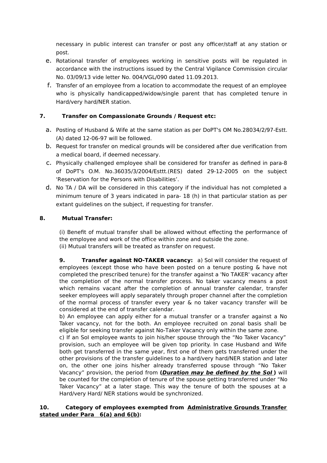necessary in public interest can transfer or post any officer/staff at any station or post.

- e. Rotational transfer of employees working in sensitive posts will be regulated in accordance with the instructions issued by the Central Vigilance Commission circular No. 03/09/13 vide letter No. 004/VGL/090 dated 11.09.2013.
- f. Transfer of an employee from a location to accommodate the request of an employee who is physically handicapped/widow/single parent that has completed tenure in Hard/very hard/NER station.

# **7. Transfer on Compassionate Grounds / Request etc:**

- a. Posting of Husband & Wife at the same station as per DoPT's OM No.28034/2/97-Estt. (A) dated 12-06-97 will be followed.
- b. Request for transfer on medical grounds will be considered after due verification from a medical board, if deemed necessary.
- c. Physically challenged employee shall be considered for transfer as defined in para-8 of DoPT's O.M. No.36035/3/2004/Esttt.(RES) dated 29-12-2005 on the subject 'Reservation for the Persons with Disabilities'.
- d. No TA / DA will be considered in this category if the individual has not completed a minimum tenure of 3 years indicated in para- 18 (h) in that particular station as per extant guidelines on the subject, if requesting for transfer.

# **8. Mutual Transfer:**

(i) Benefit of mutual transfer shall be allowed without effecting the performance of the employee and work of the office within zone and outside the zone. (ii) Mutual transfers will be treated as transfer on request.

**9. Transfer against NO-TAKER vacancy:** a) SoI will consider the request of employees (except those who have been posted on a tenure posting & have not completed the prescribed tenure) for the transfer against a 'No TAKER' vacancy after the completion of the normal transfer process. No taker vacancy means a post which remains vacant after the completion of annual transfer calendar, transfer seeker employees will apply separately through proper channel after the completion of the normal process of transfer every year & no taker vacancy transfer will be considered at the end of transfer calendar.

b) An employee can apply either for a mutual transfer or a transfer against a No Taker vacancy, not for the both. An employee recruited on zonal basis shall be eligible for seeking transfer against No-Taker Vacancy only within the same zone.

c) If an SoI employee wants to join his/her spouse through the "No Taker Vacancy" provision, such an employee will be given top priority. In case Husband and Wife both get transferred in the same year, first one of them gets transferred under the other provisions of the transfer guidelines to a hard/very hard/NER station and later on, the other one joins his/her already transferred spouse through "No Taker Vacancy" provision, the period from **(Duration may be defined by the SoI )** will be counted for the completion of tenure of the spouse getting transferred under "No Taker Vacancy" at a later stage. This way the tenure of both the spouses at a Hard/very Hard/ NER stations would be synchronized.

# **10. Category of employees exempted from Administrative Grounds Transfer stated under Para 6(a) and 6(b):**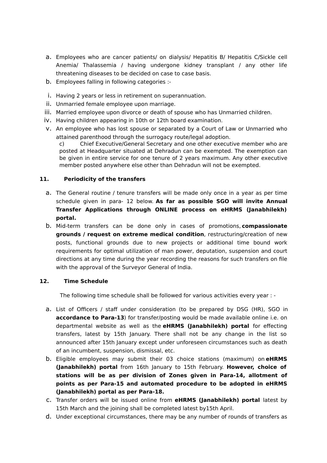- a. Employees who are cancer patients/ on dialysis/ Hepatitis B/ Hepatitis C/Sickle cell Anemia/ Thalassemia / having undergone kidney transplant / any other life threatening diseases to be decided on case to case basis.
- b. Employees falling in following categories :-
- i. Having 2 years or less in retirement on superannuation.
- ii. Unmarried female employee upon marriage.
- iii. Married employee upon divorce or death of spouse who has Unmarried children.
- iv. Having children appearing in 10th or 12th board examination.
- v. An employee who has lost spouse or separated by a Court of Law or Unmarried who attained parenthood through the surrogacy route/legal adoption.

c) Chief Executive/General Secretary and one other executive member who are posted at Headquarter situated at Dehradun can be exempted. The exemption can be given in entire service for one tenure of 2 years maximum. Any other executive member posted anywhere else other than Dehradun will not be exempted.

# **11. Periodicity of the transfers**

- a. The General routine / tenure transfers will be made only once in a year as per time schedule given in para- 12 below. **As far as possible SGO will invite Annual Transfer Applications through ONLINE process on eHRMS (Janabhilekh) portal.**
- b. Mid-term transfers can be done only in cases of promotions, **compassionate grounds / request on extreme medical condition**, restructuring/creation of new posts, functional grounds due to new projects or additional time bound work requirements for optimal utilization of man power, deputation, suspension and court directions at any time during the year recording the reasons for such transfers on file with the approval of the Surveyor General of India.

# **12. Time Schedule**

The following time schedule shall be followed for various activities every year : -

- a. List of Officers / staff under consideration (to be prepared by DSG (HR), SGO in **accordance to Para-13**) for transfer/posting would be made available online i.e. on departmental website as well as the **eHRMS (Janabhilekh) portal** for effecting transfers, latest by 15th January. There shall not be any change in the list so announced after 15th January except under unforeseen circumstances such as death of an incumbent, suspension, dismissal, etc.
- b. Eligible employees may submit their 03 choice stations (maximum) on **eHRMS (Janabhilekh) portal** from 16th January to 15th February. **However, choice of stations will be as per division of Zones given in Para-14, allotment of points as per Para-15 and automated procedure to be adopted in eHRMS (Janabhilekh) portal as per Para-18.**
- c. Transfer orders will be issued online from **eHRMS (Janabhilekh) portal** latest by 15th March and the joining shall be completed latest by15th April.
- d. Under exceptional circumstances, there may be any number of rounds of transfers as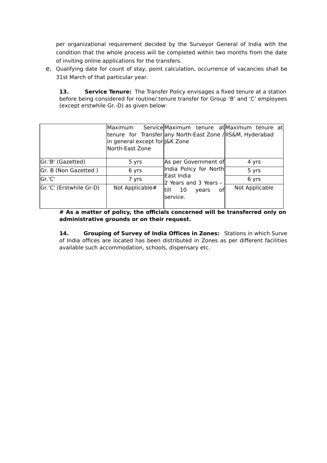per organizational requirement decided by the Surveyor General of India with the condition that the whole process will be completed within two months from the date of inviting online applications for the transfers.

e. Qualifying date for count of stay, point calculation, occurrence of vacancies shall be 31st March of that particular year.

**13. Service Tenure:** The Transfer Policy envisages a fixed tenure at a station before being considered for routine/ tenure transfer for Group 'B' and 'C' employees (except erstwhile Gr.-D) as given below:

|                         | Maximum<br>in general except for J&K Zone<br>North-East Zone | Service Maximum tenure at Maximum tenure at<br>tenure for Transfer any North-East Zone / IIS&M, Hyderabad |                |
|-------------------------|--------------------------------------------------------------|-----------------------------------------------------------------------------------------------------------|----------------|
| Gr.'B' (Gazetted)       | 5 yrs                                                        | As per Government of                                                                                      | 4 yrs          |
| Gr. B (Non Gazetted)    | 6 yrs                                                        | India Policy for North                                                                                    | 5 yrs          |
| Gr.'C'                  | 7 yrs                                                        | East India<br>2 Years and 3 Years -                                                                       | 6 yrs          |
| Gr.'C' (Erstwhile Gr-D) | Not Applicable#                                              | till 10<br>οf<br>vears<br>service.                                                                        | Not Applicable |

**# As a matter of policy, the officials concerned will be transferred only on administrative grounds or on their request.**

**14. •• Grouping of Survey of India Offices in Zones:** Stations in which Survey of India offices are located has been distributed in Zones as per different facilities available such accommodation, schools, dispensary etc.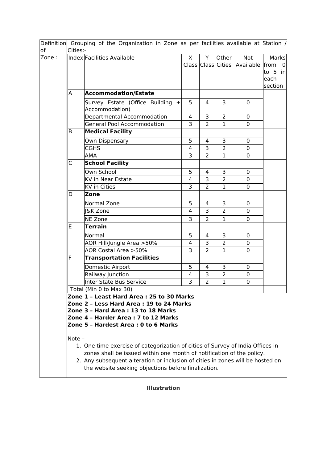| lof   | Cities:-                                                                                                                                                                                                                                  | Definition Grouping of the Organization in Zone as per facilities available at Station /                                                                                                                     |                |                |                |                              |                        |  |  |
|-------|-------------------------------------------------------------------------------------------------------------------------------------------------------------------------------------------------------------------------------------------|--------------------------------------------------------------------------------------------------------------------------------------------------------------------------------------------------------------|----------------|----------------|----------------|------------------------------|------------------------|--|--|
| Zone: |                                                                                                                                                                                                                                           | Index Facilities Available                                                                                                                                                                                   | X              | Y              | Other          | Not                          | Marks                  |  |  |
|       |                                                                                                                                                                                                                                           |                                                                                                                                                                                                              |                |                |                | Class Class Cities Available | from<br>$\overline{0}$ |  |  |
|       |                                                                                                                                                                                                                                           |                                                                                                                                                                                                              |                |                |                |                              | to 5 in                |  |  |
|       |                                                                                                                                                                                                                                           |                                                                                                                                                                                                              |                |                |                |                              | each                   |  |  |
|       |                                                                                                                                                                                                                                           |                                                                                                                                                                                                              |                |                |                |                              | section                |  |  |
|       | A                                                                                                                                                                                                                                         | <b>Accommodation/Estate</b>                                                                                                                                                                                  |                |                |                |                              |                        |  |  |
|       |                                                                                                                                                                                                                                           | Survey Estate (Office Building<br>$+$                                                                                                                                                                        | 5              | 4              | 3              | $\mathbf{0}$                 |                        |  |  |
|       |                                                                                                                                                                                                                                           | Accommodation)                                                                                                                                                                                               |                |                |                |                              |                        |  |  |
|       |                                                                                                                                                                                                                                           | Departmental Accommodation                                                                                                                                                                                   | 4              | 3              | $\overline{2}$ | $\mathbf{0}$                 |                        |  |  |
|       |                                                                                                                                                                                                                                           | <b>General Pool Accommodation</b>                                                                                                                                                                            | 3              | $\overline{2}$ | $\mathbf{1}$   | $\mathbf 0$                  |                        |  |  |
|       | B                                                                                                                                                                                                                                         | <b>Medical Facility</b>                                                                                                                                                                                      |                |                |                |                              |                        |  |  |
|       |                                                                                                                                                                                                                                           | Own Dispensary                                                                                                                                                                                               | 5              | $\overline{4}$ | 3              | $\mathbf 0$                  |                        |  |  |
|       |                                                                                                                                                                                                                                           | <b>CGHS</b>                                                                                                                                                                                                  | 4              | 3              | $\overline{2}$ | $\mathbf 0$                  |                        |  |  |
|       |                                                                                                                                                                                                                                           | AMA                                                                                                                                                                                                          | 3              | $\overline{2}$ | $\mathbf{1}$   | $\mathbf 0$                  |                        |  |  |
|       | C                                                                                                                                                                                                                                         | <b>School Facility</b>                                                                                                                                                                                       |                |                |                |                              |                        |  |  |
|       |                                                                                                                                                                                                                                           | Own School                                                                                                                                                                                                   | 5              | 4              | 3              | 0                            |                        |  |  |
|       |                                                                                                                                                                                                                                           | <b>KV in Near Estate</b>                                                                                                                                                                                     | 4              | 3              | $\overline{2}$ | 0                            |                        |  |  |
|       |                                                                                                                                                                                                                                           | <b>KV</b> in Cities                                                                                                                                                                                          | 3              | $\overline{2}$ | $\mathbf{1}$   | $\Omega$                     |                        |  |  |
|       | D                                                                                                                                                                                                                                         | Zone                                                                                                                                                                                                         |                |                |                |                              |                        |  |  |
|       |                                                                                                                                                                                                                                           | Normal Zone                                                                                                                                                                                                  | 5              | 4              | 3              | $\mathbf 0$                  |                        |  |  |
|       |                                                                                                                                                                                                                                           | <b>I&amp;K Zone</b>                                                                                                                                                                                          | 4              | 3              | $\overline{2}$ | $\mathbf 0$                  |                        |  |  |
|       |                                                                                                                                                                                                                                           | <b>NE Zone</b>                                                                                                                                                                                               | 3              | $\overline{2}$ | $\mathbf{1}$   | $\Omega$                     |                        |  |  |
|       | Ε                                                                                                                                                                                                                                         | Terrain                                                                                                                                                                                                      |                |                |                |                              |                        |  |  |
|       |                                                                                                                                                                                                                                           | Normal                                                                                                                                                                                                       | 5              | 4              | 3              | 0                            |                        |  |  |
|       |                                                                                                                                                                                                                                           | AOR Hill/Jungle Area >50%                                                                                                                                                                                    | $\overline{4}$ | 3              | $\overline{2}$ | $\mathbf 0$                  |                        |  |  |
|       |                                                                                                                                                                                                                                           | AOR Costal Area > 50%                                                                                                                                                                                        | 3              | $\overline{2}$ | 1              | 0                            |                        |  |  |
|       | F                                                                                                                                                                                                                                         | <b>Transportation Facilities</b>                                                                                                                                                                             |                |                |                |                              |                        |  |  |
|       |                                                                                                                                                                                                                                           | Domestic Airport                                                                                                                                                                                             | 5              | 4              | 3              | 0                            |                        |  |  |
|       |                                                                                                                                                                                                                                           | Railway Junction                                                                                                                                                                                             | 4              | 3              | $\overline{2}$ | $\mathbf 0$                  |                        |  |  |
|       |                                                                                                                                                                                                                                           | <b>Inter State Bus Service</b>                                                                                                                                                                               | 3              | $\overline{2}$ | $\mathbf 1$    | $\mathbf 0$                  |                        |  |  |
|       | Total (Min 0 to Max 30)                                                                                                                                                                                                                   |                                                                                                                                                                                                              |                |                |                |                              |                        |  |  |
|       |                                                                                                                                                                                                                                           | Zone 1 - Least Hard Area : 25 to 30 Marks<br>Zone 2 - Less Hard Area : 19 to 24 Marks<br>Zone 3 - Hard Area : 13 to 18 Marks<br>Zone 4 - Harder Area : 7 to 12 Marks<br>Zone 5 - Hardest Area : 0 to 6 Marks |                |                |                |                              |                        |  |  |
|       |                                                                                                                                                                                                                                           |                                                                                                                                                                                                              |                |                |                |                              |                        |  |  |
|       | Note -                                                                                                                                                                                                                                    |                                                                                                                                                                                                              |                |                |                |                              |                        |  |  |
|       | 1. One time exercise of categorization of cities of Survey of India Offices in<br>zones shall be issued within one month of notification of the policy.<br>2. Any subsequent alteration or inclusion of cities in zones will be hosted on |                                                                                                                                                                                                              |                |                |                |                              |                        |  |  |
|       |                                                                                                                                                                                                                                           | the website seeking objections before finalization.                                                                                                                                                          |                |                |                |                              |                        |  |  |

**Illustration**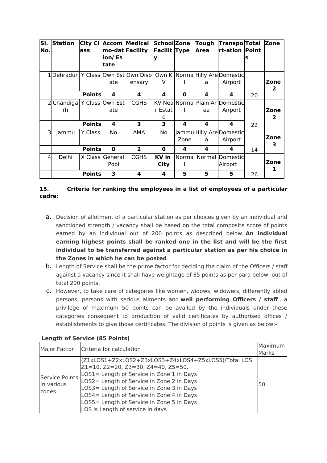| SI.<br>No.     | <b>Station</b>   | <b>City CI</b><br>lass | ion/ Es<br>ltate        | <b>Accom Medical</b><br>mo-dat Facility                                                | School Zone<br><b>Facilit Type</b> |        | Tough<br><b>Area</b> | Transpo Total<br>rt-ation  Point          | s  | <b>Zone</b>            |
|----------------|------------------|------------------------|-------------------------|----------------------------------------------------------------------------------------|------------------------------------|--------|----------------------|-------------------------------------------|----|------------------------|
|                |                  |                        | ate                     | 1 Dehradun  Y Class   Own Est  Own Disp   Own K   Norma   Hilly Are Domestic<br>ensary | v                                  |        | a                    | Airport                                   |    | Zone<br>2              |
|                |                  | <b>Points</b>          | 4                       | 4                                                                                      | 4                                  | 0      | 4                    | 4                                         | 20 |                        |
|                | 2 Chandiga<br>rh |                        | Y Class Own Est<br>ate  | <b>CGHS</b>                                                                            | r Estat<br>e                       |        | ea                   | KV Nea Norma Plain Ar Domestic<br>Airport |    | Zone<br>$\overline{2}$ |
|                |                  | <b>Points</b>          | 4                       | 3                                                                                      | 3                                  | 4      | 4                    | 4                                         | 22 |                        |
| 31             | Jammu            | Y Class                | No                      | AMA                                                                                    | No.                                | Zone   | a                    | Jammu Hilly Are Domestic<br>Airport       |    | Zone<br>3              |
|                |                  | <b>Points</b>          | $\bf{0}$                | $\overline{2}$                                                                         | 0                                  | 4      | 4                    | 4                                         | 14 |                        |
| $\overline{4}$ | Delhi            |                        | X Class General<br>Pool | <b>CGHS</b>                                                                            | <b>KV</b> in<br><b>City</b>        | Normal |                      | Normal Domestic<br>Airport                |    | Zone<br>1              |
|                |                  | <b>Points</b>          | 3                       | 4                                                                                      | 4                                  | 5      | 5                    | 5                                         | 26 |                        |

# **15. Criteria for ranking the employees in a list of employees of a particular cadre:**

- a. Decision of allotment of a particular station as per choices given by an individual and sanctioned strength / vacancy shall be based on the total composite score of points earned by an individual out of 200 points as described below. **An individual earning highest points shall be ranked one in the list and will be the first individual to be transferred against a particular station as per his choice in the Zones in which he can be posted**.
- b. Length of Service shall be the prime factor for deciding the claim of the Officers / staff against a vacancy since it shall have weightage of 85 points as per para below, out of total 200 points.
- c. However, to take care of categories like women, widows, widowers, differently abled persons, persons with serious ailments and **well performing Officers / staff** , a privilege of maximum 50 points can be availed by the individuals under these categories consequent to production of valid certificates by authorised offices / establishments to give those certificates. The division of points is given as below:-

| Major Factor                                 | Criteria for calculation                                                                                                                                                                                                                                                                                                                                                                     | Maximum<br>Marks |
|----------------------------------------------|----------------------------------------------------------------------------------------------------------------------------------------------------------------------------------------------------------------------------------------------------------------------------------------------------------------------------------------------------------------------------------------------|------------------|
| <b>Service Points</b><br>In various<br>zones | (Z1xLOS1+Z2xLOS2+Z3xLOS3+Z4xLOS4+Z5xLOS5)/Total LOS<br>$Z1 = 10$ , $Z2 = 20$ , $Z3 = 30$ , $Z4 = 40$ , $Z5 = 50$ ,<br>LOS1 = Length of Service in Zone 1 in Days<br>LOS2 = Length of Service in Zone 2 in Days<br>LOS3 = Length of Service in Zone 3 in Days<br>LOS4 = Length of Service in Zone 4 in Days<br>LOS5 = Length of Service in Zone 5 in Days<br>LOS is Length of service in days | 50               |

# **Length of Service (85 Points)**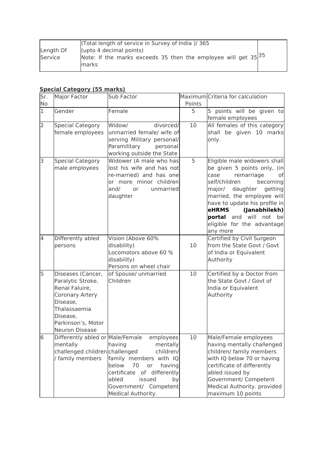|           | (Total length of service in Survey of India)/365                    |  |
|-----------|---------------------------------------------------------------------|--|
| Length Of | (upto 4 decimal points)                                             |  |
| Service   | Note: If the marks exceeds 35 then the employee will get $35 ^{35}$ |  |
|           | marks                                                               |  |
|           |                                                                     |  |

# **Special Category (55 marks)**

| Sr.            | Major Factor                                                                                                                                                       | Sub Factor                                                                                                                                                                                                  |        | Maximum Criteria for calculation                                                                                                                                                                                                                                                                                       |
|----------------|--------------------------------------------------------------------------------------------------------------------------------------------------------------------|-------------------------------------------------------------------------------------------------------------------------------------------------------------------------------------------------------------|--------|------------------------------------------------------------------------------------------------------------------------------------------------------------------------------------------------------------------------------------------------------------------------------------------------------------------------|
| No             |                                                                                                                                                                    |                                                                                                                                                                                                             | Points |                                                                                                                                                                                                                                                                                                                        |
| $\mathbf{1}$   | Gender                                                                                                                                                             | Female                                                                                                                                                                                                      | 5      | 5 points will be given to<br>female employees                                                                                                                                                                                                                                                                          |
| $\overline{2}$ | <b>Special Category</b><br>female employees                                                                                                                        | Widow/<br>divorced/<br>unmarried female/ wife of<br>serving Military personal/<br>Paramilitary<br>personal<br>working outside the State                                                                     | 10     | All females of this category<br>shall be given 10 marks<br>only.                                                                                                                                                                                                                                                       |
| 3              | <b>Special Category</b><br>male employees                                                                                                                          | Widower (A male who has<br>lost his wife and has not<br>re-married) and has one<br>or more minor children<br>and/<br>unmarried<br>or<br>daughter                                                            | 5      | Eligible male widowers shall<br>be given 5 points only, (in<br>case<br>remarriage<br>оf<br>self/children<br>becoming<br>major/ daughter<br>getting<br>married, the employee will<br>have to update his profile in<br><b>eHRMS</b><br>(Janabhilekh)<br>portal and will not be<br>eligible for the advantage<br>any more |
| 4              | Differently abled<br>persons                                                                                                                                       | Vision (Above 60%<br>disability)<br>Locomotors above 60 %<br>disability)<br>Persons on wheel chair                                                                                                          | 10     | Certified by Civil Surgeon<br>from the State Govt / Govt<br>of India or Equivalent<br>Authority                                                                                                                                                                                                                        |
| 5              | Diseases (Cancer,<br>Paralytic Stroke,<br>Renal Faluire,<br>Coronary Artery<br>Disease,<br>Thalassaemia<br>Disease,<br>Parkinson's, Motor<br><b>Neuron Disease</b> | of Spouse/ unmarried<br>Children                                                                                                                                                                            | 10     | Certified by a Doctor from<br>the State Govt / Govt of<br>India or Equivalent<br>Authority                                                                                                                                                                                                                             |
| 6              | Differently abled or Male/Female<br>mentally<br>challenged children challenged<br>/ family members                                                                 | employees<br>having<br>mentally<br>children/<br>family members with IQ<br>below<br>70<br>having<br>or<br>certificate of differently<br>abled<br>issued<br>by<br>Government/ Competent<br>Medical Authority. | 10     | Male/Female employees<br>having mentally challenged<br>children/ family members<br>with IQ below 70 or having<br>certificate of differently<br>abled issued by<br>Government/ Competent<br>Medical Authority. provided<br>maximum 10 points                                                                            |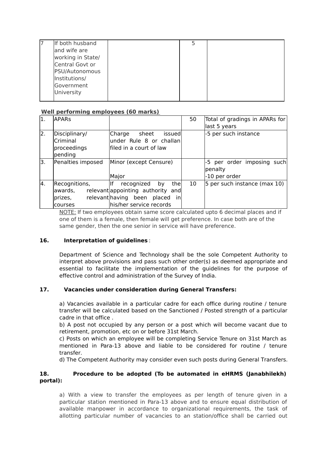| If both husband   | 5 |  |
|-------------------|---|--|
| and wife are      |   |  |
| working in State/ |   |  |
| Central Govt or   |   |  |
| PSU/Autonomous    |   |  |
| Institutions/     |   |  |
| Government        |   |  |
| University        |   |  |
|                   |   |  |

#### **Well performing employees (60 marks)**

| $\overline{1}$ . | <b>APARS</b>                                          |                                                                                                                                          | 50 | Total of gradings in APARs for                         |
|------------------|-------------------------------------------------------|------------------------------------------------------------------------------------------------------------------------------------------|----|--------------------------------------------------------|
|                  |                                                       |                                                                                                                                          |    | last 5 years                                           |
| 2.               | Disciplinary/<br>Criminal<br>proceedings<br>pending   | Charge<br>sheet<br>issued<br>under Rule 8 or challan<br>lfiled in a court of law                                                         |    | -5 per such instance                                   |
| 3.               | Penalties imposed                                     | Minor (except Censure)<br>Major                                                                                                          |    | -5 per order imposing such<br>penalty<br>-10 per order |
| 4.               | Recognitions,<br>awards,<br>prizes,<br><b>courses</b> | llf<br>thel<br>recognized<br>by<br>relevant appointing authority and<br>relevant having been<br>inl<br>placed<br>his/her service records | 10 | 5 per such instance (max 10)                           |

NOTE: If two employees obtain same score calculated upto 6 decimal places and if one of them is a female, then female will get preference. In case both are of the same gender, then the one senior in service will have preference.

# **16. Interpretation of guidelines** :

Department of Science and Technology shall be the sole Competent Authority to interpret above provisions and pass such other order(s) as deemed appropriate and essential to facilitate the implementation of the guidelines for the purpose of effective control and administration of the Survey of India.

# **17. Vacancies under consideration during General Transfers:**

a) Vacancies available in a particular cadre for each office during routine / tenure transfer will be calculated based on the Sanctioned / Posted strength of a particular cadre in that office .

b) A post not occupied by any person or a post which will become vacant due to retirement, promotion, etc on or before 31st March.

c) Posts on which an employee will be completing Service Tenure on 31st March as mentioned in Para-13 above and liable to be considered for routine / tenure transfer.

d) The Competent Authority may consider even such posts during General Transfers.

# **18. Procedure to be adopted (To be automated in eHRMS (Janabhilekh) portal):**

a) With a view to transfer the employees as per length of tenure given in a particular station mentioned in Para-13 above and to ensure equal distribution of available manpower in accordance to organizational requirements, the task of allotting particular number of vacancies to an station/office shall be carried out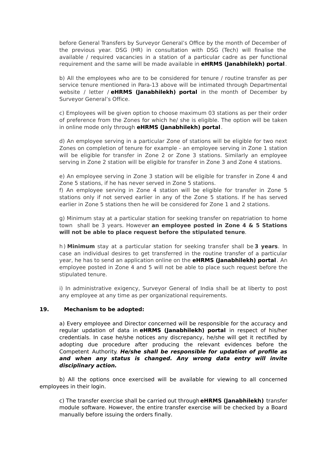before General Transfers by Surveyor General's Office by the month of December of the previous year. DSG (HR) in consultation with DSG (Tech) will finalise the available / required vacancies in a station of a particular cadre as per functional requirement and the same will be made available in **eHRMS (Janabhilekh) portal**.

b) All the employees who are to be considered for tenure / routine transfer as per service tenure mentioned in Para-13 above will be intimated through Departmental website / letter / **eHRMS (Janabhilekh) portal** in the month of December by Surveyor General's Office.

c) Employees will be given option to choose maximum 03 stations as per their order of preference from the Zones for which he/ she is eligible. The option will be taken in online mode only through **eHRMS (Janabhilekh) portal**.

d) An employee serving in a particular Zone of stations will be eligible for two next Zones on completion of tenure for example - an employee serving in Zone 1 station will be eligible for transfer in Zone 2 or Zone 3 stations. Similarly an employee serving in Zone 2 station will be eligible for transfer in Zone 3 and Zone 4 stations.

e) An employee serving in Zone 3 station will be eligible for transfer in Zone 4 and Zone 5 stations, if he has never served in Zone 5 stations.

f) An employee serving in Zone 4 station will be eligible for transfer in Zone 5 stations only if not served earlier in any of the Zone 5 stations. If he has served earlier in Zone 5 stations then he will be considered for Zone 1 and 2 stations.

g) Minimum stay at a particular station for seeking transfer on repatriation to home town shall be 3 years. However **an employee posted in Zone 4 & 5 Stations will not be able to place request before the stipulated tenure**.

h ) **Minimum** stay at a particular station for seeking transfer shall be **3 years**. In case an individual desires to get transferred in the routine transfer of a particular year, he has to send an application online on the **eHRMS (Janabhilekh) portal**. An employee posted in Zone 4 and 5 will not be able to place such request before the stipulated tenure.

i) In administrative exigency, Surveyor General of India shall be at liberty to post any employee at any time as per organizational requirements.

#### **19. Mechanism to be adopted:**

a) Every employee and Director concerned will be responsible for the accuracy and regular updation of data in **eHRMS (Janabhilekh) portal** in respect of his/her credentials. In case he/she notices any discrepancy, he/she will get it rectified by adopting due procedure after producing the relevant evidences before the Competent Authority. **He/she shall be responsible for updation of profile as and when any status is changed. Any wrong data entry will invite disciplinary action.**

b) All the options once exercised will be available for viewing to all concerned employees in their login.

c) The transfer exercise shall be carried out through **eHRMS (Janabhilekh)** transfer module software. However, the entire transfer exercise will be checked by a Board manually before issuing the orders finally.